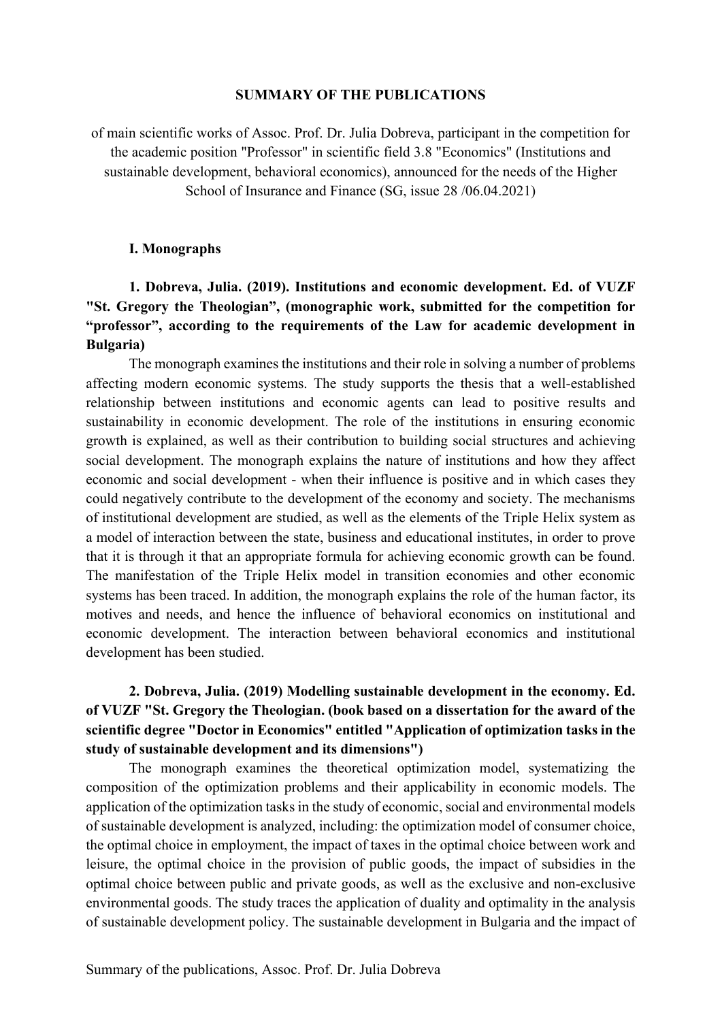#### **SUMMARY OF THE PUBLICATIONS**

of main scientific works of Assoc. Prof. Dr. Julia Dobreva, participant in the competition for the academic position "Professor" in scientific field 3.8 "Economics" (Institutions and sustainable development, behavioral economics), announced for the needs of the Higher School of Insurance and Finance (SG, issue 28 /06.04.2021)

#### **І. Monographs**

## **1. Dobreva, Julia. (2019). Institutions and economic development. Ed. of VUZF "St. Gregory the Theologian", (monographic work, submitted for the competition for "professor", according to the requirements of the Law for academic development in Bulgaria)**

The monograph examines the institutions and their role in solving a number of problems affecting modern economic systems. The study supports the thesis that a well-established relationship between institutions and economic agents can lead to positive results and sustainability in economic development. The role of the institutions in ensuring economic growth is explained, as well as their contribution to building social structures and achieving social development. The monograph explains the nature of institutions and how they affect economic and social development - when their influence is positive and in which cases they could negatively contribute to the development of the economy and society. The mechanisms of institutional development are studied, as well as the elements of the Triple Helix system as a model of interaction between the state, business and educational institutes, in order to prove that it is through it that an appropriate formula for achieving economic growth can be found. The manifestation of the Triple Helix model in transition economies and other economic systems has been traced. In addition, the monograph explains the role of the human factor, its motives and needs, and hence the influence of behavioral economics on institutional and economic development. The interaction between behavioral economics and institutional development has been studied.

## **2. Dobreva, Julia. (2019) Modelling sustainable development in the economy. Ed. of VUZF "St. Gregory the Theologian. (book based on a dissertation for the award of the scientific degree "Doctor in Economics" entitled "Application of optimization tasks in the study of sustainable development and its dimensions")**

The monograph examines the theoretical optimization model, systematizing the composition of the optimization problems and their applicability in economic models. The application of the optimization tasks in the study of economic, social and environmental models of sustainable development is analyzed, including: the optimization model of consumer choice, the optimal choice in employment, the impact of taxes in the optimal choice between work and leisure, the optimal choice in the provision of public goods, the impact of subsidies in the optimal choice between public and private goods, as well as the exclusive and non-exclusive environmental goods. The study traces the application of duality and optimality in the analysis of sustainable development policy. The sustainable development in Bulgaria and the impact of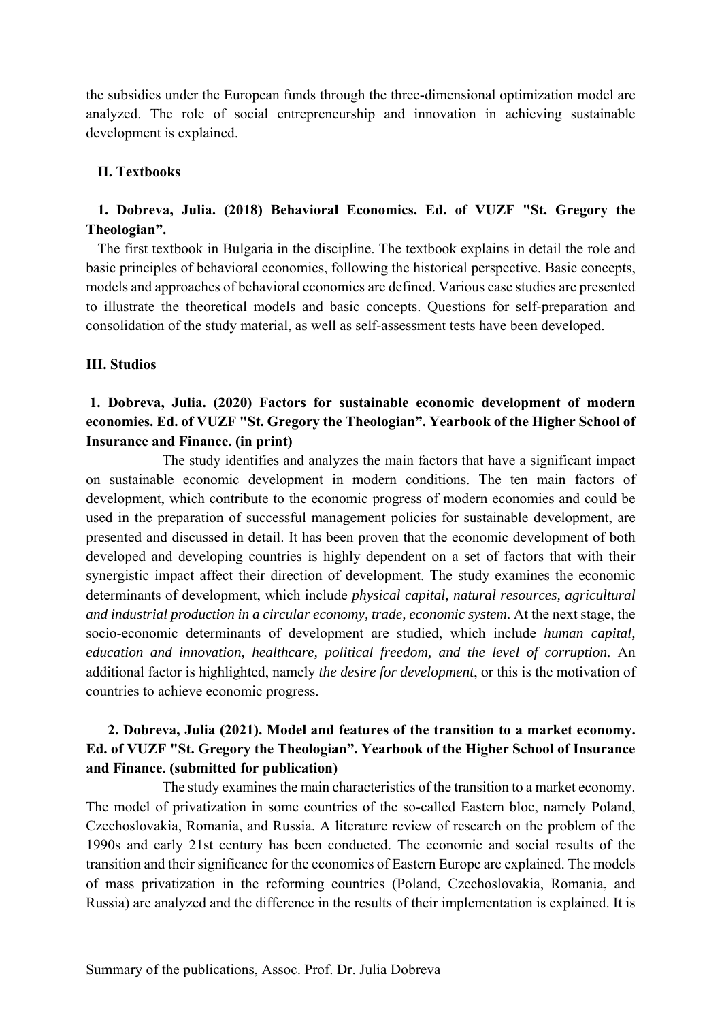the subsidies under the European funds through the three-dimensional optimization model are analyzed. The role of social entrepreneurship and innovation in achieving sustainable development is explained.

#### **ІІ. Textbooks**

### **1. Dobreva, Julia. (2018) Behavioral Economics. Ed. of VUZF "St. Gregory the Theologian".**

The first textbook in Bulgaria in the discipline. The textbook explains in detail the role and basic principles of behavioral economics, following the historical perspective. Basic concepts, models and approaches of behavioral economics are defined. Various case studies are presented to illustrate the theoretical models and basic concepts. Questions for self-preparation and consolidation of the study material, as well as self-assessment tests have been developed.

#### **III. Studios**

### **1. Dobreva, Julia. (2020) Factors for sustainable economic development of modern economies. Ed. of VUZF "St. Gregory the Theologian". Yearbook of the Higher School of Insurance and Finance. (in print)**

 The study identifies and analyzes the main factors that have a significant impact on sustainable economic development in modern conditions. The ten main factors of development, which contribute to the economic progress of modern economies and could be used in the preparation of successful management policies for sustainable development, are presented and discussed in detail. It has been proven that the economic development of both developed and developing countries is highly dependent on a set of factors that with their synergistic impact affect their direction of development. The study examines the economic determinants of development, which include *physical capital, natural resources, agricultural and industrial production in a circular economy, trade, economic system*. At the next stage, the socio-economic determinants of development are studied, which include *human capital, education and innovation, healthcare, political freedom, and the level of corruption*. An additional factor is highlighted, namely *the desire for development*, or this is the motivation of countries to achieve economic progress.

### **2. Dobreva, Julia (2021). Model and features of the transition to a market economy. Ed. of VUZF "St. Gregory the Theologian". Yearbook of the Higher School of Insurance and Finance. (submitted for publication)**

 The study examines the main characteristics of the transition to a market economy. The model of privatization in some countries of the so-called Eastern bloc, namely Poland, Czechoslovakia, Romania, and Russia. A literature review of research on the problem of the 1990s and early 21st century has been conducted. The economic and social results of the transition and their significance for the economies of Eastern Europe are explained. The models of mass privatization in the reforming countries (Poland, Czechoslovakia, Romania, and Russia) are analyzed and the difference in the results of their implementation is explained. It is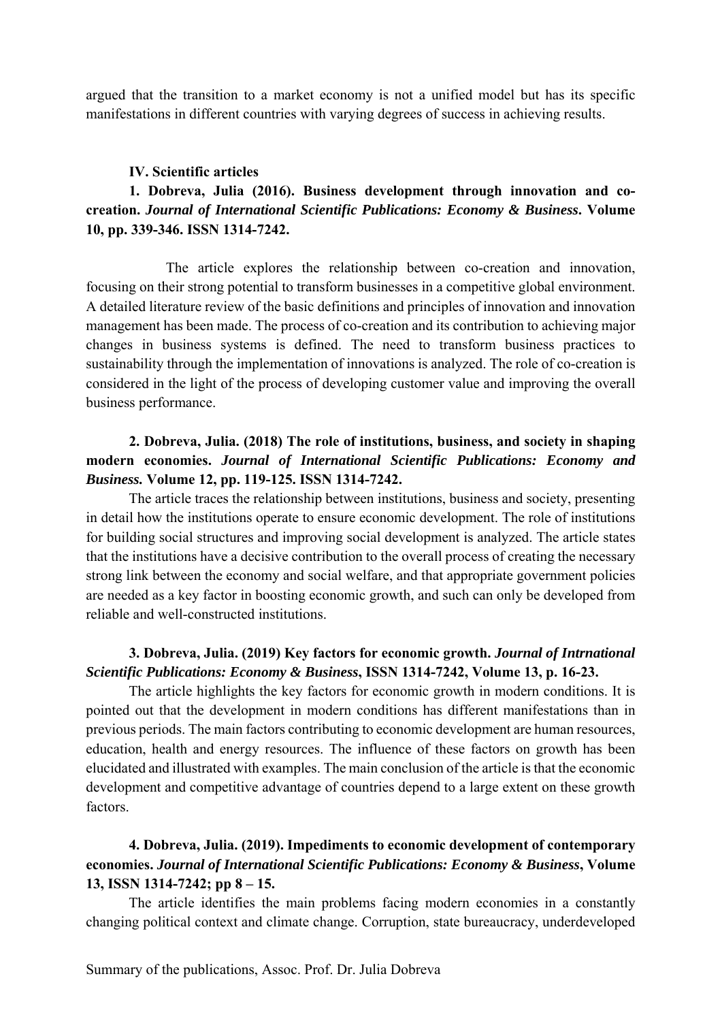argued that the transition to a market economy is not a unified model but has its specific manifestations in different countries with varying degrees of success in achieving results.

#### **IV. Scientific articles**

## **1. Dobreva, Julia (2016). Business development through innovation and cocreation.** *Journal of International Scientific Publications: Economy & Business***. Volume 10, pp. 339-346. ISSN 1314-7242.**

 The article explores the relationship between co-creation and innovation, focusing on their strong potential to transform businesses in a competitive global environment. A detailed literature review of the basic definitions and principles of innovation and innovation management has been made. The process of co-creation and its contribution to achieving major changes in business systems is defined. The need to transform business practices to sustainability through the implementation of innovations is analyzed. The role of co-creation is considered in the light of the process of developing customer value and improving the overall business performance.

## **2. Dobreva, Julia. (2018) The role of institutions, business, and society in shaping modern economies.** *Journal of International Scientific Publications: Economy and Business.* **Volume 12, pp. 119-125. ISSN 1314-7242.**

 The article traces the relationship between institutions, business and society, presenting in detail how the institutions operate to ensure economic development. The role of institutions for building social structures and improving social development is analyzed. The article states that the institutions have a decisive contribution to the overall process of creating the necessary strong link between the economy and social welfare, and that appropriate government policies are needed as a key factor in boosting economic growth, and such can only be developed from reliable and well-constructed institutions.

### **3. Dobreva, Julia. (2019) Key factors for economic growth.** *Journal of Intrnational Scientific Publications: Economy & Business***, ISSN 1314-7242, Volume 13, p. 16-23.**

 The article highlights the key factors for economic growth in modern conditions. It is pointed out that the development in modern conditions has different manifestations than in previous periods. The main factors contributing to economic development are human resources, education, health and energy resources. The influence of these factors on growth has been elucidated and illustrated with examples. The main conclusion of the article is that the economic development and competitive advantage of countries depend to a large extent on these growth factors.

## **4. Dobreva, Julia. (2019). Impediments to economic development of contemporary economies.** *Journal of International Scientific Publications: Economy & Business***, Volume 13, ISSN 1314-7242; pp 8 – 15.**

 The article identifies the main problems facing modern economies in a constantly changing political context and climate change. Corruption, state bureaucracy, underdeveloped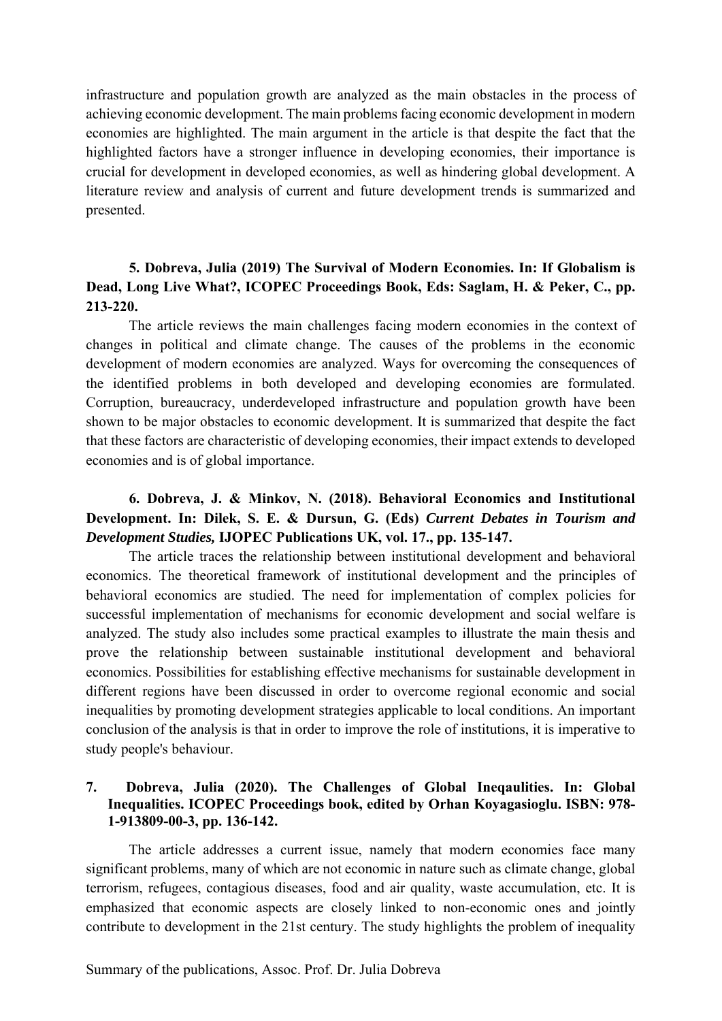infrastructure and population growth are analyzed as the main obstacles in the process of achieving economic development. The main problems facing economic development in modern economies are highlighted. The main argument in the article is that despite the fact that the highlighted factors have a stronger influence in developing economies, their importance is crucial for development in developed economies, as well as hindering global development. A literature review and analysis of current and future development trends is summarized and presented.

### **5. Dobreva, Julia (2019) The Survival of Modern Economies. In: If Globalism is Dead, Long Live What?, ICOPEC Proceedings Book, Eds: Saglam, H. & Peker, C., pp. 213-220.**

 The article reviews the main challenges facing modern economies in the context of changes in political and climate change. The causes of the problems in the economic development of modern economies are analyzed. Ways for overcoming the consequences of the identified problems in both developed and developing economies are formulated. Corruption, bureaucracy, underdeveloped infrastructure and population growth have been shown to be major obstacles to economic development. It is summarized that despite the fact that these factors are characteristic of developing economies, their impact extends to developed economies and is of global importance.

## **6. Dobreva, J. & Minkov, N. (2018). Behavioral Economics and Institutional Development. In: Dilek, S. E. & Dursun, G. (Eds)** *Current Debates in Tourism and Development Studies,* **IJOPEC Publications UK, vol. 17., pp. 135-147.**

The article traces the relationship between institutional development and behavioral economics. The theoretical framework of institutional development and the principles of behavioral economics are studied. The need for implementation of complex policies for successful implementation of mechanisms for economic development and social welfare is analyzed. The study also includes some practical examples to illustrate the main thesis and prove the relationship between sustainable institutional development and behavioral economics. Possibilities for establishing effective mechanisms for sustainable development in different regions have been discussed in order to overcome regional economic and social inequalities by promoting development strategies applicable to local conditions. An important conclusion of the analysis is that in order to improve the role of institutions, it is imperative to study people's behaviour.

### **7. Dobreva, Julia (2020). The Challenges of Global Ineqaulities. In: Global Inequalities. ICOPEC Proceedings book, edited by Orhan Koyagasioglu. ISBN: 978- 1-913809-00-3, pp. 136-142.**

 The article addresses a current issue, namely that modern economies face many significant problems, many of which are not economic in nature such as climate change, global terrorism, refugees, contagious diseases, food and air quality, waste accumulation, etc. It is emphasized that economic aspects are closely linked to non-economic ones and jointly contribute to development in the 21st century. The study highlights the problem of inequality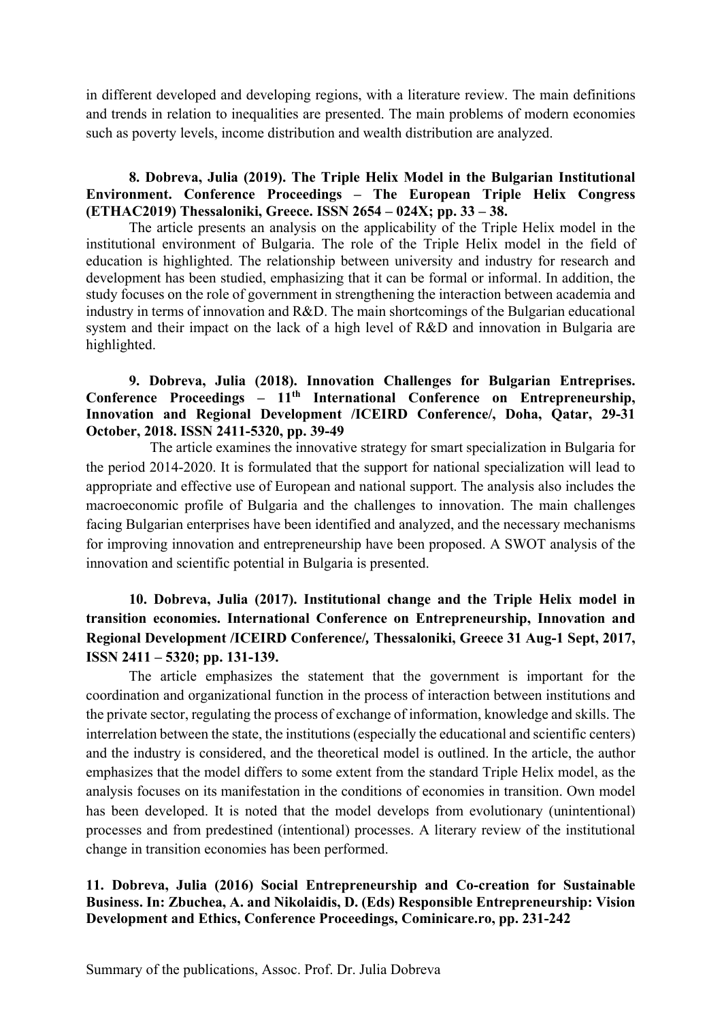in different developed and developing regions, with a literature review. The main definitions and trends in relation to inequalities are presented. The main problems of modern economies such as poverty levels, income distribution and wealth distribution are analyzed.

### **8. Dobreva, Julia (2019). The Triple Helix Model in the Bulgarian Institutional Environment. Conference Proceedings – The European Triple Helix Congress (ETHAC2019) Thessaloniki, Greece. ISSN 2654 – 024X; pp. 33 – 38.**

The article presents an analysis on the applicability of the Triple Helix model in the institutional environment of Bulgaria. The role of the Triple Helix model in the field of education is highlighted. The relationship between university and industry for research and development has been studied, emphasizing that it can be formal or informal. In addition, the study focuses on the role of government in strengthening the interaction between academia and industry in terms of innovation and R&D. The main shortcomings of the Bulgarian educational system and their impact on the lack of a high level of R&D and innovation in Bulgaria are highlighted.

### **9. Dobreva, Julia (2018). Innovation Challenges for Bulgarian Entreprises.**  Conference Proceedings –  $11<sup>th</sup>$  International Conference on Entrepreneurship, **Innovation and Regional Development /ICEIRD Conference/, Doha, Qatar, 29-31 October, 2018. ISSN 2411-5320, pp. 39-49**

The article examines the innovative strategy for smart specialization in Bulgaria for the period 2014-2020. It is formulated that the support for national specialization will lead to appropriate and effective use of European and national support. The analysis also includes the macroeconomic profile of Bulgaria and the challenges to innovation. The main challenges facing Bulgarian enterprises have been identified and analyzed, and the necessary mechanisms for improving innovation and entrepreneurship have been proposed. A SWOT analysis of the innovation and scientific potential in Bulgaria is presented.

# **10. Dobreva, Julia (2017). Institutional change and the Triple Helix model in transition economies. International Conference on Entrepreneurship, Innovation and Regional Development /ICEIRD Conference/***,* **Thessaloniki, Greece 31 Aug-1 Sept, 2017, ISSN 2411 – 5320; pp. 131-139.**

The article emphasizes the statement that the government is important for the coordination and organizational function in the process of interaction between institutions and the private sector, regulating the process of exchange of information, knowledge and skills. The interrelation between the state, the institutions (especially the educational and scientific centers) and the industry is considered, and the theoretical model is outlined. In the article, the author emphasizes that the model differs to some extent from the standard Triple Helix model, as the analysis focuses on its manifestation in the conditions of economies in transition. Own model has been developed. It is noted that the model develops from evolutionary (unintentional) processes and from predestined (intentional) processes. A literary review of the institutional change in transition economies has been performed.

### **11. Dobreva, Julia (2016) Social Entrepreneurship and Co-creation for Sustainable Business. In: Zbuchea, A. and Nikolaidis, D. (Eds) Responsible Entrepreneurship: Vision Development and Ethics, Conference Proceedings, Cominicare.ro, pp. 231-242**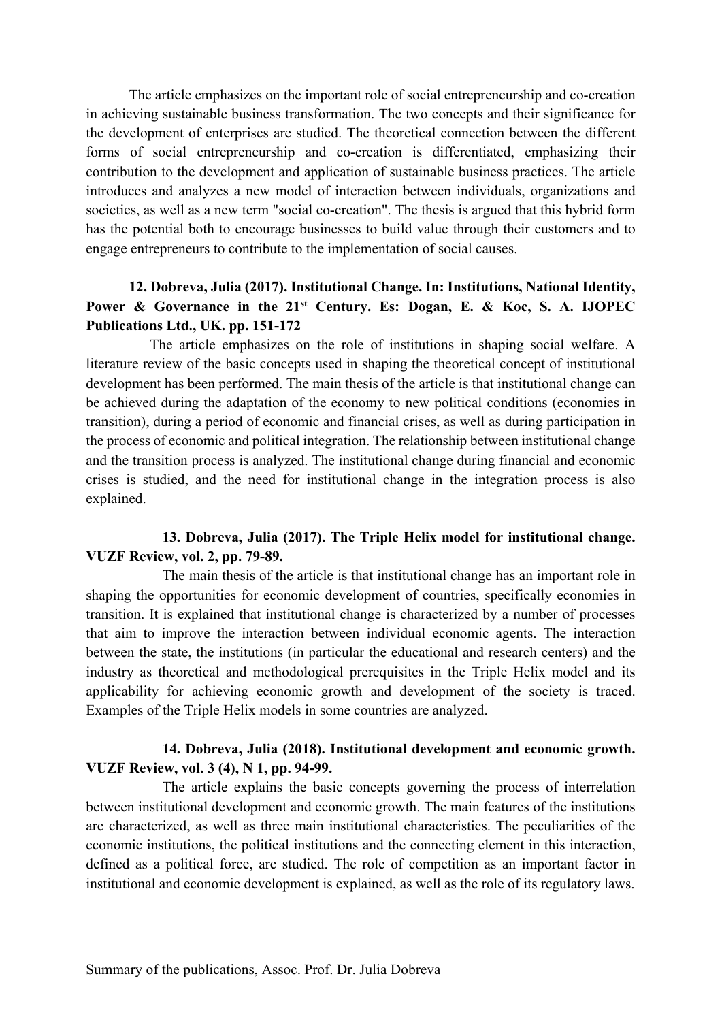The article emphasizes on the important role of social entrepreneurship and co-creation in achieving sustainable business transformation. The two concepts and their significance for the development of enterprises are studied. The theoretical connection between the different forms of social entrepreneurship and co-creation is differentiated, emphasizing their contribution to the development and application of sustainable business practices. The article introduces and analyzes a new model of interaction between individuals, organizations and societies, as well as a new term "social co-creation". The thesis is argued that this hybrid form has the potential both to encourage businesses to build value through their customers and to engage entrepreneurs to contribute to the implementation of social causes.

## **12. Dobreva, Julia (2017). Institutional Change. In: Institutions, National Identity,**  Power & Governance in the 21<sup>st</sup> Century. Es: Dogan, E. & Koc, S. A. IJOPEC **Publications Ltd., UK. pp. 151-172**

The article emphasizes on the role of institutions in shaping social welfare. A literature review of the basic concepts used in shaping the theoretical concept of institutional development has been performed. The main thesis of the article is that institutional change can be achieved during the adaptation of the economy to new political conditions (economies in transition), during a period of economic and financial crises, as well as during participation in the process of economic and political integration. The relationship between institutional change and the transition process is analyzed. The institutional change during financial and economic crises is studied, and the need for institutional change in the integration process is also explained.

### **13. Dobreva, Julia (2017). The Triple Helix model for institutional change. VUZF Review, vol. 2, pp. 79-89.**

 The main thesis of the article is that institutional change has an important role in shaping the opportunities for economic development of countries, specifically economies in transition. It is explained that institutional change is characterized by a number of processes that aim to improve the interaction between individual economic agents. The interaction between the state, the institutions (in particular the educational and research centers) and the industry as theoretical and methodological prerequisites in the Triple Helix model and its applicability for achieving economic growth and development of the society is traced. Examples of the Triple Helix models in some countries are analyzed.

### **14. Dobreva, Julia (2018). Institutional development and economic growth. VUZF Review, vol. 3 (4), N 1, pp. 94-99.**

 The article explains the basic concepts governing the process of interrelation between institutional development and economic growth. The main features of the institutions are characterized, as well as three main institutional characteristics. The peculiarities of the economic institutions, the political institutions and the connecting element in this interaction, defined as a political force, are studied. The role of competition as an important factor in institutional and economic development is explained, as well as the role of its regulatory laws.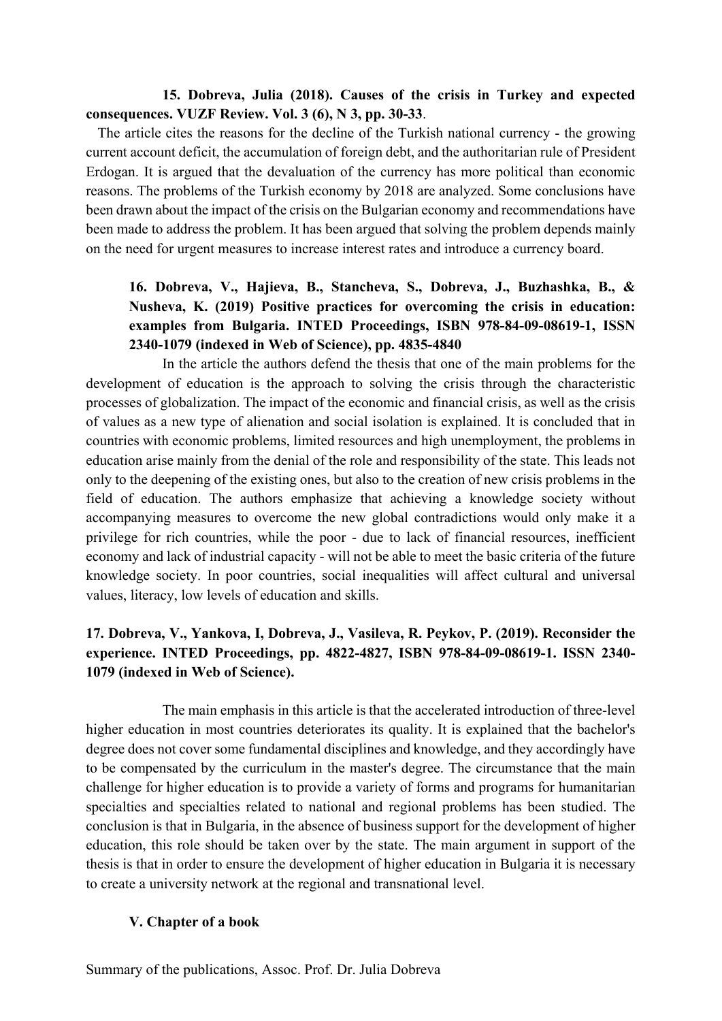### **15. Dobreva, Julia (2018). Causes of the crisis in Turkey and expected consequences. VUZF Review. Vol. 3 (6), N 3, pp. 30-33**.

The article cites the reasons for the decline of the Turkish national currency - the growing current account deficit, the accumulation of foreign debt, and the authoritarian rule of President Erdogan. It is argued that the devaluation of the currency has more political than economic reasons. The problems of the Turkish economy by 2018 are analyzed. Some conclusions have been drawn about the impact of the crisis on the Bulgarian economy and recommendations have been made to address the problem. It has been argued that solving the problem depends mainly on the need for urgent measures to increase interest rates and introduce a currency board.

# **16. Dobreva, V., Hajieva, B., Stancheva, S., Dobreva, J., Buzhashka, B., & Nusheva, K. (2019) Positive practices for overcoming the crisis in education: examples from Bulgaria. INTED Proceedings, ISBN 978-84-09-08619-1, ISSN 2340-1079 (indexed in Web of Science), pp. 4835-4840**

 In the article the authors defend the thesis that one of the main problems for the development of education is the approach to solving the crisis through the characteristic processes of globalization. The impact of the economic and financial crisis, as well as the crisis of values as a new type of alienation and social isolation is explained. It is concluded that in countries with economic problems, limited resources and high unemployment, the problems in education arise mainly from the denial of the role and responsibility of the state. This leads not only to the deepening of the existing ones, but also to the creation of new crisis problems in the field of education. The authors emphasize that achieving a knowledge society without accompanying measures to overcome the new global contradictions would only make it a privilege for rich countries, while the poor - due to lack of financial resources, inefficient economy and lack of industrial capacity - will not be able to meet the basic criteria of the future knowledge society. In poor countries, social inequalities will affect cultural and universal values, literacy, low levels of education and skills.

## **17. Dobreva, V., Yankova, I, Dobreva, J., Vasileva, R. Peykov, P. (2019). Reconsider the experience. INTED Proceedings, pp. 4822-4827, ISBN 978-84-09-08619-1. ISSN 2340- 1079 (indexed in Web of Science).**

 The main emphasis in this article is that the accelerated introduction of three-level higher education in most countries deteriorates its quality. It is explained that the bachelor's degree does not cover some fundamental disciplines and knowledge, and they accordingly have to be compensated by the curriculum in the master's degree. The circumstance that the main challenge for higher education is to provide a variety of forms and programs for humanitarian specialties and specialties related to national and regional problems has been studied. The conclusion is that in Bulgaria, in the absence of business support for the development of higher education, this role should be taken over by the state. The main argument in support of the thesis is that in order to ensure the development of higher education in Bulgaria it is necessary to create a university network at the regional and transnational level.

#### **V. Chapter of a book**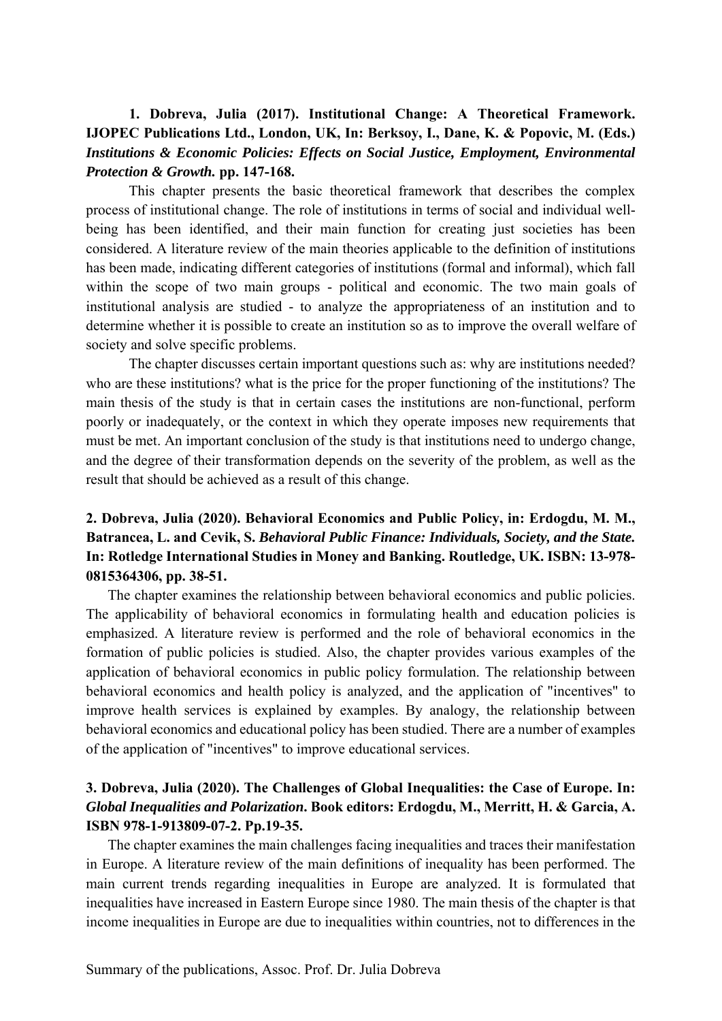## **1. Dobreva, Julia (2017). Institutional Change: A Theoretical Framework. IJOPEC Publications Ltd., London, UK, In: Berksoy, I., Dane, K. & Popovic, M. (Eds.)**  *Institutions & Economic Policies: Effects on Social Justice, Employment, Environmental Protection & Growth.* **pp. 147-168.**

This chapter presents the basic theoretical framework that describes the complex process of institutional change. The role of institutions in terms of social and individual wellbeing has been identified, and their main function for creating just societies has been considered. A literature review of the main theories applicable to the definition of institutions has been made, indicating different categories of institutions (formal and informal), which fall within the scope of two main groups - political and economic. The two main goals of institutional analysis are studied - to analyze the appropriateness of an institution and to determine whether it is possible to create an institution so as to improve the overall welfare of society and solve specific problems.

The chapter discusses certain important questions such as: why are institutions needed? who are these institutions? what is the price for the proper functioning of the institutions? The main thesis of the study is that in certain cases the institutions are non-functional, perform poorly or inadequately, or the context in which they operate imposes new requirements that must be met. An important conclusion of the study is that institutions need to undergo change, and the degree of their transformation depends on the severity of the problem, as well as the result that should be achieved as a result of this change.

# **2. Dobreva, Julia (2020). Behavioral Economics and Public Policy, in: Erdogdu, M. M., Batrancea, L. and Cevik, S.** *Behavioral Public Finance: Individuals, Society, and the State.*  **In: Rotledge International Studies in Money and Banking. Routledge, UK. ISBN: 13-978- 0815364306, pp. 38-51.**

The chapter examines the relationship between behavioral economics and public policies. The applicability of behavioral economics in formulating health and education policies is emphasized. A literature review is performed and the role of behavioral economics in the formation of public policies is studied. Also, the chapter provides various examples of the application of behavioral economics in public policy formulation. The relationship between behavioral economics and health policy is analyzed, and the application of "incentives" to improve health services is explained by examples. By analogy, the relationship between behavioral economics and educational policy has been studied. There are a number of examples of the application of "incentives" to improve educational services.

## **3. Dobreva, Julia (2020). The Challenges of Global Inequalities: the Case of Europe. In:**  *Global Inequalities and Polarization***. Book editors: Erdogdu, M., Merritt, H. & Garcia, A. ISBN 978-1-913809-07-2. Pp.19-35.**

The chapter examines the main challenges facing inequalities and traces their manifestation in Europe. A literature review of the main definitions of inequality has been performed. The main current trends regarding inequalities in Europe are analyzed. It is formulated that inequalities have increased in Eastern Europe since 1980. The main thesis of the chapter is that income inequalities in Europe are due to inequalities within countries, not to differences in the